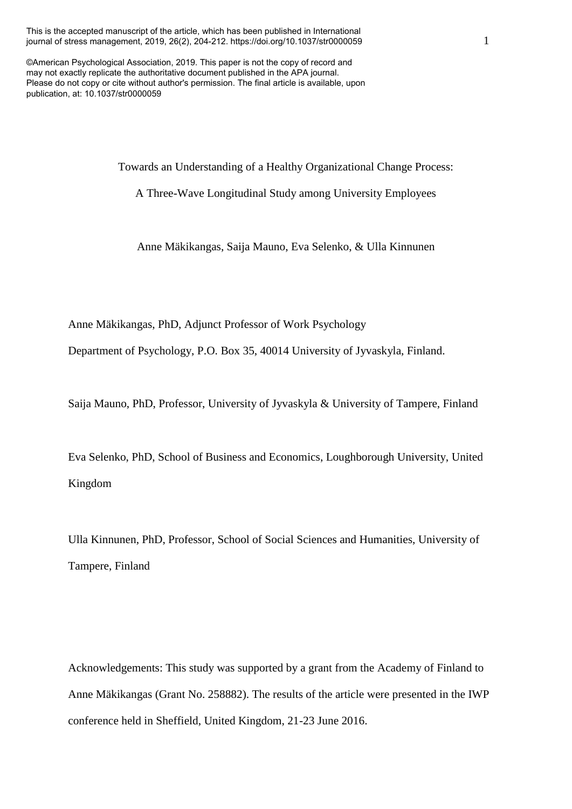This is the accepted manuscript of the article, which has been published in International journal of stress management, 2019, 26(2), 204-212. https://doi.org/10.1037/str0000059

©American Psychological Association, 2019. This paper is not the copy of record and may not exactly replicate the authoritative document published in the APA journal. Please do not copy or cite without author's permission. The final article is available, upon publication, at: 10.1037/str0000059

Towards an Understanding of a Healthy Organizational Change Process:

A Three-Wave Longitudinal Study among University Employees

Anne Mäkikangas, Saija Mauno, Eva Selenko, & Ulla Kinnunen

Anne Mäkikangas, PhD, Adjunct Professor of Work Psychology

Department of Psychology, P.O. Box 35, 40014 University of Jyvaskyla, Finland.

Saija Mauno, PhD, Professor, University of Jyvaskyla & University of Tampere, Finland

Eva Selenko, PhD, School of Business and Economics, Loughborough University, United Kingdom

Ulla Kinnunen, PhD, Professor, School of Social Sciences and Humanities, University of Tampere, Finland

Acknowledgements: This study was supported by a grant from the Academy of Finland to Anne Mäkikangas (Grant No. 258882). The results of the article were presented in the IWP conference held in Sheffield, United Kingdom, 21-23 June 2016.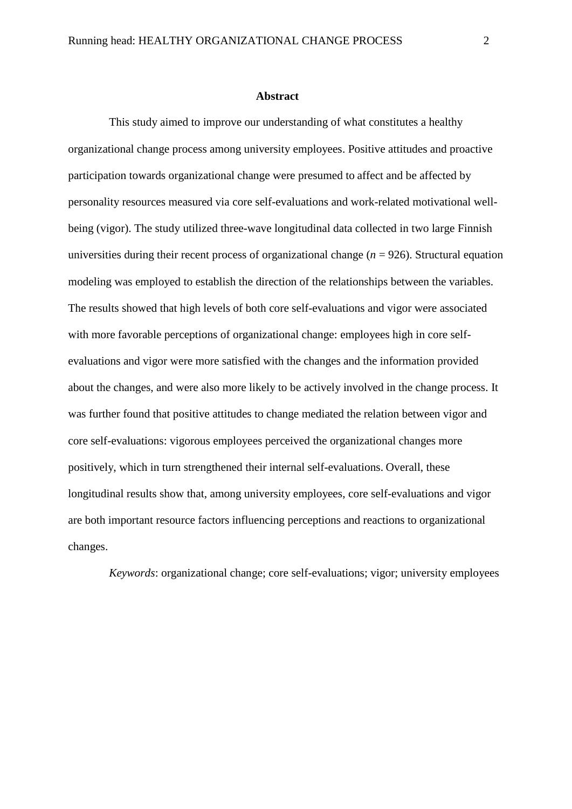#### **Abstract**

This study aimed to improve our understanding of what constitutes a healthy organizational change process among university employees. Positive attitudes and proactive participation towards organizational change were presumed to affect and be affected by personality resources measured via core self-evaluations and work-related motivational wellbeing (vigor). The study utilized three-wave longitudinal data collected in two large Finnish universities during their recent process of organizational change (*n* = 926). Structural equation modeling was employed to establish the direction of the relationships between the variables. The results showed that high levels of both core self-evaluations and vigor were associated with more favorable perceptions of organizational change: employees high in core selfevaluations and vigor were more satisfied with the changes and the information provided about the changes, and were also more likely to be actively involved in the change process. It was further found that positive attitudes to change mediated the relation between vigor and core self-evaluations: vigorous employees perceived the organizational changes more positively, which in turn strengthened their internal self-evaluations. Overall, these longitudinal results show that, among university employees, core self-evaluations and vigor are both important resource factors influencing perceptions and reactions to organizational changes.

*Keywords*: organizational change; core self-evaluations; vigor; university employees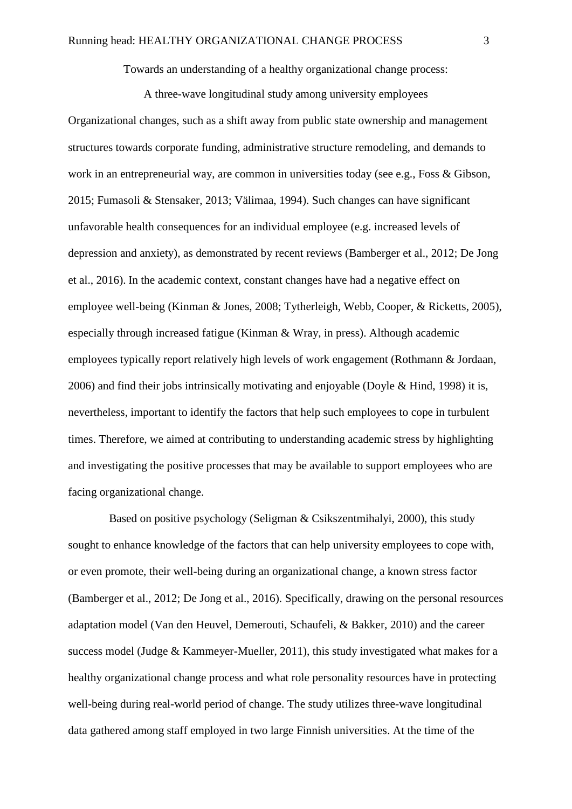Towards an understanding of a healthy organizational change process:

A three-wave longitudinal study among university employees

Organizational changes, such as a shift away from public state ownership and management structures towards corporate funding, administrative structure remodeling, and demands to work in an entrepreneurial way, are common in universities today (see e.g., Foss & Gibson, 2015; Fumasoli & Stensaker, 2013; Välimaa, 1994). Such changes can have significant unfavorable health consequences for an individual employee (e.g. increased levels of depression and anxiety), as demonstrated by recent reviews (Bamberger et al., 2012; De Jong et al., 2016). In the academic context, constant changes have had a negative effect on employee well-being (Kinman & Jones, 2008; Tytherleigh, Webb, Cooper, & Ricketts, 2005), especially through increased fatigue (Kinman & Wray, in press). Although academic employees typically report relatively high levels of work engagement (Rothmann & Jordaan, 2006) and find their jobs intrinsically motivating and enjoyable (Doyle & Hind, 1998) it is, nevertheless, important to identify the factors that help such employees to cope in turbulent times. Therefore, we aimed at contributing to understanding academic stress by highlighting and investigating the positive processes that may be available to support employees who are facing organizational change.

Based on positive psychology (Seligman & Csikszentmihalyi, 2000), this study sought to enhance knowledge of the factors that can help university employees to cope with, or even promote, their well-being during an organizational change, a known stress factor (Bamberger et al., 2012; De Jong et al., 2016). Specifically, drawing on the personal resources adaptation model (Van den Heuvel, Demerouti, Schaufeli, & Bakker, 2010) and the career success model (Judge & Kammeyer-Mueller, 2011), this study investigated what makes for a healthy organizational change process and what role personality resources have in protecting well-being during real-world period of change. The study utilizes three-wave longitudinal data gathered among staff employed in two large Finnish universities. At the time of the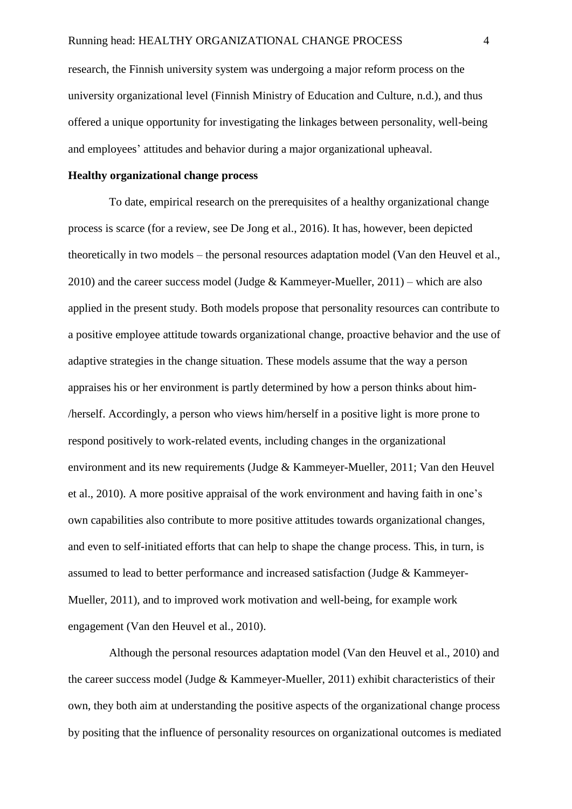research, the Finnish university system was undergoing a major reform process on the university organizational level (Finnish Ministry of Education and Culture, n.d.), and thus offered a unique opportunity for investigating the linkages between personality, well-being and employees' attitudes and behavior during a major organizational upheaval.

## **Healthy organizational change process**

To date, empirical research on the prerequisites of a healthy organizational change process is scarce (for a review, see De Jong et al., 2016). It has, however, been depicted theoretically in two models – the personal resources adaptation model (Van den Heuvel et al., 2010) and the career success model (Judge & Kammeyer-Mueller, 2011) – which are also applied in the present study. Both models propose that personality resources can contribute to a positive employee attitude towards organizational change, proactive behavior and the use of adaptive strategies in the change situation. These models assume that the way a person appraises his or her environment is partly determined by how a person thinks about him- /herself. Accordingly, a person who views him/herself in a positive light is more prone to respond positively to work-related events, including changes in the organizational environment and its new requirements (Judge & Kammeyer-Mueller, 2011; Van den Heuvel et al., 2010). A more positive appraisal of the work environment and having faith in one's own capabilities also contribute to more positive attitudes towards organizational changes, and even to self-initiated efforts that can help to shape the change process. This, in turn, is assumed to lead to better performance and increased satisfaction (Judge & Kammeyer-Mueller, 2011), and to improved work motivation and well-being, for example work engagement (Van den Heuvel et al., 2010).

Although the personal resources adaptation model (Van den Heuvel et al., 2010) and the career success model (Judge & Kammeyer-Mueller, 2011) exhibit characteristics of their own, they both aim at understanding the positive aspects of the organizational change process by positing that the influence of personality resources on organizational outcomes is mediated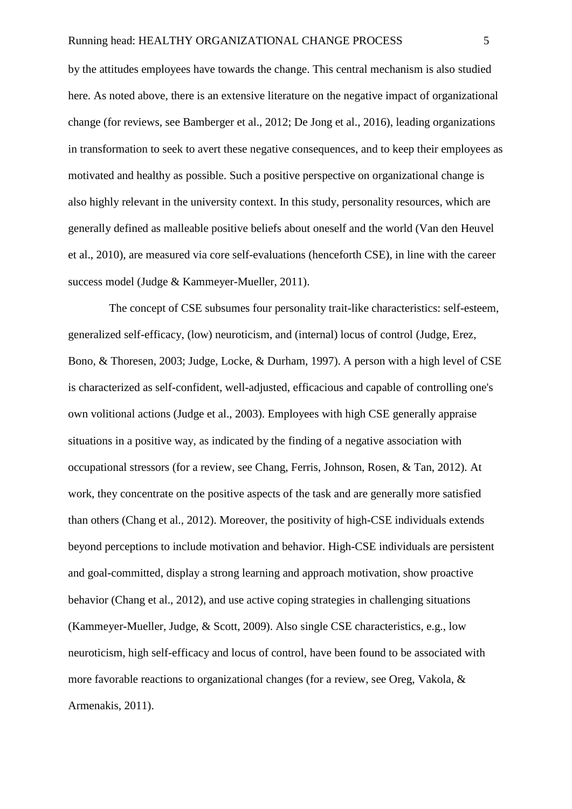by the attitudes employees have towards the change. This central mechanism is also studied here. As noted above, there is an extensive literature on the negative impact of organizational change (for reviews, see Bamberger et al., 2012; De Jong et al., 2016), leading organizations in transformation to seek to avert these negative consequences, and to keep their employees as motivated and healthy as possible. Such a positive perspective on organizational change is also highly relevant in the university context. In this study, personality resources, which are generally defined as malleable positive beliefs about oneself and the world (Van den Heuvel et al., 2010), are measured via core self-evaluations (henceforth CSE), in line with the career success model (Judge & Kammeyer-Mueller, 2011).

The concept of CSE subsumes four personality trait-like characteristics: self-esteem, generalized self-efficacy, (low) neuroticism, and (internal) locus of control (Judge, Erez, Bono, & Thoresen, 2003; Judge, Locke, & Durham, 1997). A person with a high level of CSE is characterized as self-confident, well-adjusted, efficacious and capable of controlling one's own volitional actions (Judge et al., 2003). Employees with high CSE generally appraise situations in a positive way, as indicated by the finding of a negative association with occupational stressors (for a review, see Chang, Ferris, Johnson, Rosen, & Tan, 2012). At work, they concentrate on the positive aspects of the task and are generally more satisfied than others (Chang et al., 2012). Moreover, the positivity of high-CSE individuals extends beyond perceptions to include motivation and behavior. High-CSE individuals are persistent and goal-committed, display a strong learning and approach motivation, show proactive behavior (Chang et al., 2012), and use active coping strategies in challenging situations (Kammeyer-Mueller, Judge, & Scott, 2009). Also single CSE characteristics, e.g., low neuroticism, high self-efficacy and locus of control, have been found to be associated with more favorable reactions to organizational changes (for a review, see Oreg, Vakola, & Armenakis, 2011).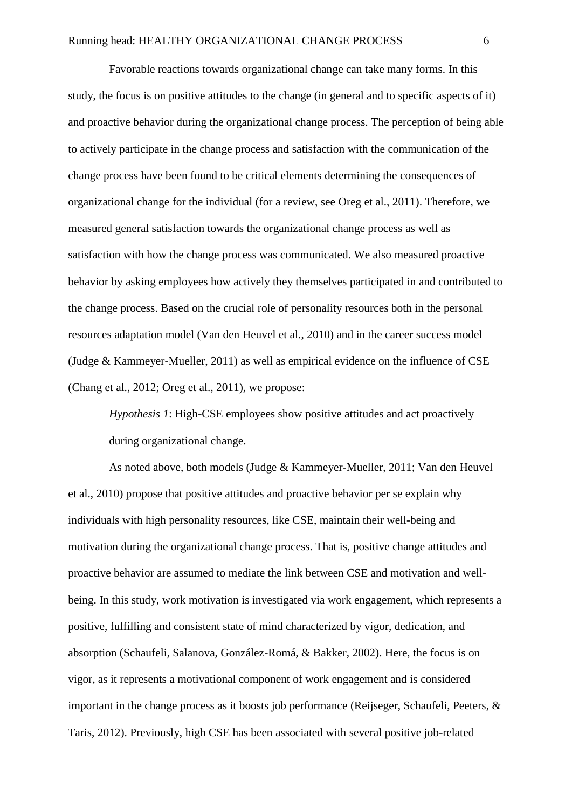Favorable reactions towards organizational change can take many forms. In this study, the focus is on positive attitudes to the change (in general and to specific aspects of it) and proactive behavior during the organizational change process. The perception of being able to actively participate in the change process and satisfaction with the communication of the change process have been found to be critical elements determining the consequences of organizational change for the individual (for a review, see Oreg et al., 2011). Therefore, we measured general satisfaction towards the organizational change process as well as satisfaction with how the change process was communicated. We also measured proactive behavior by asking employees how actively they themselves participated in and contributed to the change process. Based on the crucial role of personality resources both in the personal resources adaptation model (Van den Heuvel et al., 2010) and in the career success model (Judge & Kammeyer-Mueller, 2011) as well as empirical evidence on the influence of CSE (Chang et al., 2012; Oreg et al., 2011), we propose:

*Hypothesis 1*: High-CSE employees show positive attitudes and act proactively during organizational change.

As noted above, both models (Judge & Kammeyer-Mueller, 2011; Van den Heuvel et al., 2010) propose that positive attitudes and proactive behavior per se explain why individuals with high personality resources, like CSE, maintain their well-being and motivation during the organizational change process. That is, positive change attitudes and proactive behavior are assumed to mediate the link between CSE and motivation and wellbeing. In this study, work motivation is investigated via work engagement, which represents a positive, fulfilling and consistent state of mind characterized by vigor, dedication, and absorption (Schaufeli, Salanova, González-Romá, & Bakker, 2002). Here, the focus is on vigor, as it represents a motivational component of work engagement and is considered important in the change process as it boosts job performance (Reijseger, Schaufeli, Peeters, & Taris, 2012). Previously, high CSE has been associated with several positive job-related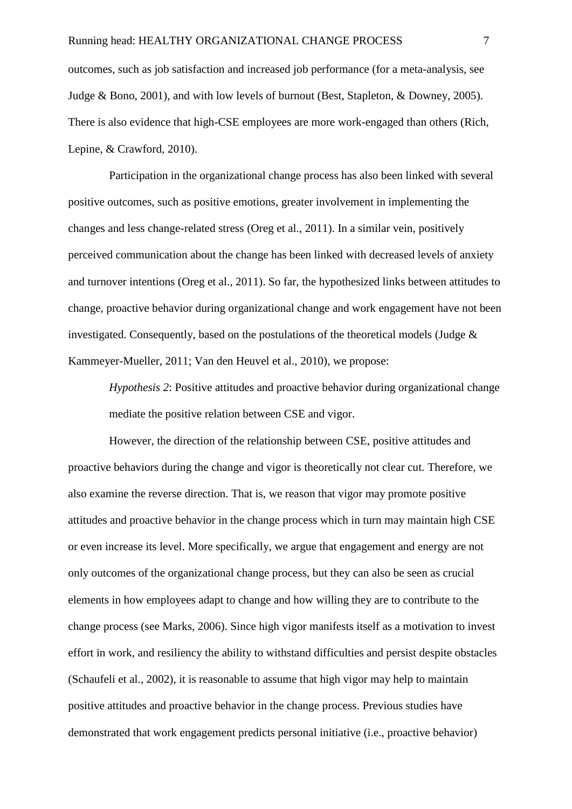outcomes, such as job satisfaction and increased job performance (for a meta-analysis, see Judge & Bono, 2001), and with low levels of burnout (Best, Stapleton, & Downey, 2005). There is also evidence that high-CSE employees are more work-engaged than others (Rich, Lepine, & Crawford, 2010).

Participation in the organizational change process has also been linked with several positive outcomes, such as positive emotions, greater involvement in implementing the changes and less change-related stress (Oreg et al., 2011). In a similar vein, positively perceived communication about the change has been linked with decreased levels of anxiety and turnover intentions (Oreg et al., 2011). So far, the hypothesized links between attitudes to change, proactive behavior during organizational change and work engagement have not been investigated. Consequently, based on the postulations of the theoretical models (Judge & Kammeyer-Mueller, 2011; Van den Heuvel et al., 2010), we propose:

*Hypothesis 2*: Positive attitudes and proactive behavior during organizational change mediate the positive relation between CSE and vigor.

However, the direction of the relationship between CSE, positive attitudes and proactive behaviors during the change and vigor is theoretically not clear cut. Therefore, we also examine the reverse direction. That is, we reason that vigor may promote positive attitudes and proactive behavior in the change process which in turn may maintain high CSE or even increase its level. More specifically, we argue that engagement and energy are not only outcomes of the organizational change process, but they can also be seen as crucial elements in how employees adapt to change and how willing they are to contribute to the change process (see Marks, 2006). Since high vigor manifests itself as a motivation to invest effort in work, and resiliency the ability to withstand difficulties and persist despite obstacles (Schaufeli et al., 2002), it is reasonable to assume that high vigor may help to maintain positive attitudes and proactive behavior in the change process. Previous studies have demonstrated that work engagement predicts personal initiative (i.e., proactive behavior)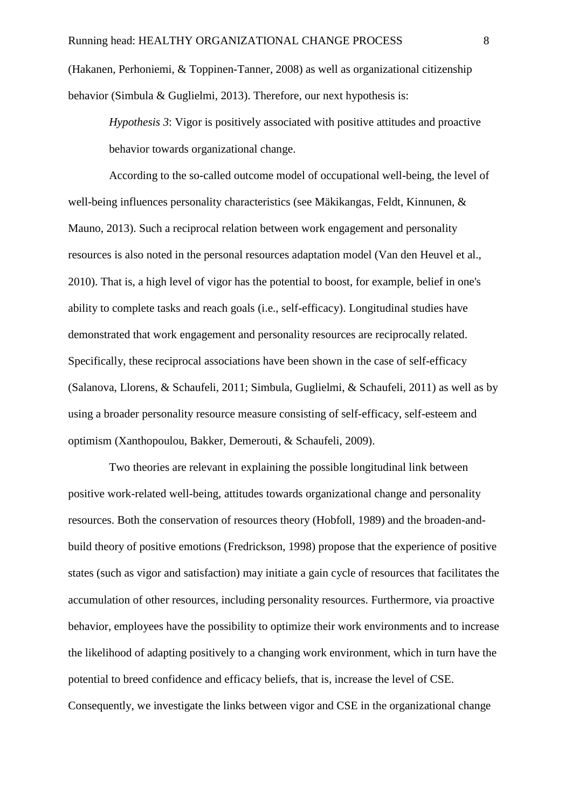(Hakanen, Perhoniemi, & Toppinen-Tanner, 2008) as well as organizational citizenship behavior (Simbula & Guglielmi, 2013). Therefore, our next hypothesis is:

*Hypothesis 3*: Vigor is positively associated with positive attitudes and proactive behavior towards organizational change.

According to the so-called outcome model of occupational well-being, the level of well-being influences personality characteristics (see Mäkikangas, Feldt, Kinnunen, & Mauno, 2013). Such a reciprocal relation between work engagement and personality resources is also noted in the personal resources adaptation model (Van den Heuvel et al., 2010). That is, a high level of vigor has the potential to boost, for example, belief in one's ability to complete tasks and reach goals (i.e., self-efficacy). Longitudinal studies have demonstrated that work engagement and personality resources are reciprocally related. Specifically, these reciprocal associations have been shown in the case of self-efficacy (Salanova, Llorens, & Schaufeli, 2011; Simbula, Guglielmi, & Schaufeli, 2011) as well as by using a broader personality resource measure consisting of self-efficacy, self-esteem and optimism (Xanthopoulou, Bakker, Demerouti, & Schaufeli, 2009).

Two theories are relevant in explaining the possible longitudinal link between positive work-related well-being, attitudes towards organizational change and personality resources. Both the conservation of resources theory (Hobfoll, 1989) and the broaden-andbuild theory of positive emotions (Fredrickson, 1998) propose that the experience of positive states (such as vigor and satisfaction) may initiate a gain cycle of resources that facilitates the accumulation of other resources, including personality resources. Furthermore, via proactive behavior, employees have the possibility to optimize their work environments and to increase the likelihood of adapting positively to a changing work environment, which in turn have the potential to breed confidence and efficacy beliefs, that is, increase the level of CSE. Consequently, we investigate the links between vigor and CSE in the organizational change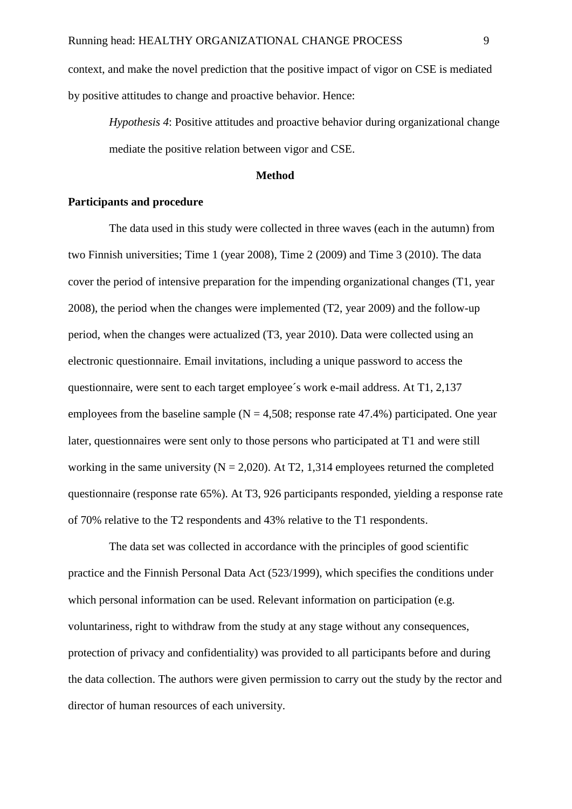context, and make the novel prediction that the positive impact of vigor on CSE is mediated by positive attitudes to change and proactive behavior. Hence:

*Hypothesis 4*: Positive attitudes and proactive behavior during organizational change mediate the positive relation between vigor and CSE.

### **Method**

## **Participants and procedure**

The data used in this study were collected in three waves (each in the autumn) from two Finnish universities; Time 1 (year 2008), Time 2 (2009) and Time 3 (2010). The data cover the period of intensive preparation for the impending organizational changes (T1, year 2008), the period when the changes were implemented (T2, year 2009) and the follow-up period, when the changes were actualized (T3, year 2010). Data were collected using an electronic questionnaire. Email invitations, including a unique password to access the questionnaire, were sent to each target employee´s work e-mail address. At T1, 2,137 employees from the baseline sample ( $N = 4,508$ ; response rate 47.4%) participated. One year later, questionnaires were sent only to those persons who participated at T1 and were still working in the same university ( $N = 2,020$ ). At T2, 1,314 employees returned the completed questionnaire (response rate 65%). At T3, 926 participants responded, yielding a response rate of 70% relative to the T2 respondents and 43% relative to the T1 respondents.

The data set was collected in accordance with the principles of good scientific practice and the Finnish Personal Data Act (523/1999), which specifies the conditions under which personal information can be used. Relevant information on participation (e.g. voluntariness, right to withdraw from the study at any stage without any consequences, protection of privacy and confidentiality) was provided to all participants before and during the data collection. The authors were given permission to carry out the study by the rector and director of human resources of each university.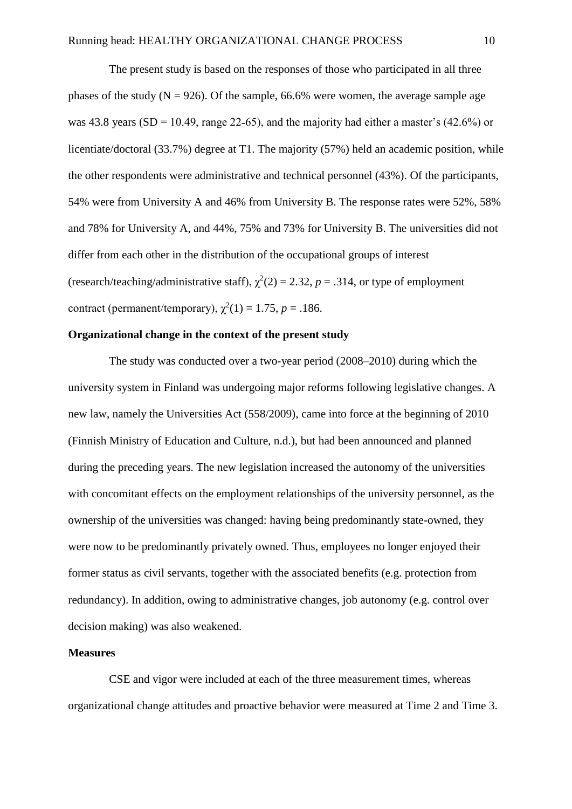The present study is based on the responses of those who participated in all three phases of the study ( $N = 926$ ). Of the sample, 66.6% were women, the average sample age was 43.8 years (SD = 10.49, range 22-65), and the majority had either a master's (42.6%) or licentiate/doctoral (33.7%) degree at T1. The majority (57%) held an academic position, while the other respondents were administrative and technical personnel (43%). Of the participants, 54% were from University A and 46% from University B. The response rates were 52%, 58% and 78% for University A, and 44%, 75% and 73% for University B. The universities did not differ from each other in the distribution of the occupational groups of interest (research/teaching/administrative staff),  $\chi^2(2) = 2.32$ ,  $p = .314$ , or type of employment contract (permanent/temporary),  $\chi^2(1) = 1.75$ ,  $p = .186$ .

## **Organizational change in the context of the present study**

The study was conducted over a two-year period (2008–2010) during which the university system in Finland was undergoing major reforms following legislative changes. A new law, namely the Universities Act (558/2009), came into force at the beginning of 2010 (Finnish Ministry of Education and Culture, n.d.), but had been announced and planned during the preceding years. The new legislation increased the autonomy of the universities with concomitant effects on the employment relationships of the university personnel, as the ownership of the universities was changed: having being predominantly state-owned, they were now to be predominantly privately owned. Thus, employees no longer enjoyed their former status as civil servants, together with the associated benefits (e.g. protection from redundancy). In addition, owing to administrative changes, job autonomy (e.g. control over decision making) was also weakened.

### **Measures**

CSE and vigor were included at each of the three measurement times, whereas organizational change attitudes and proactive behavior were measured at Time 2 and Time 3.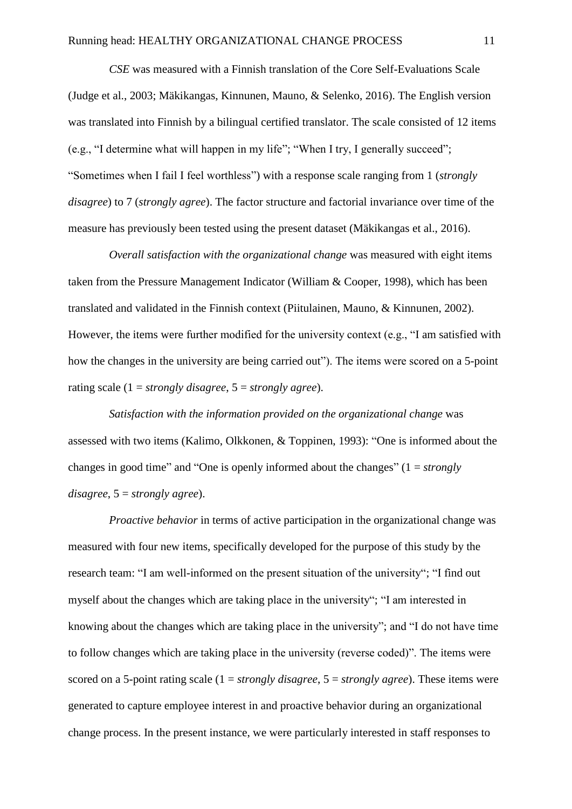*CSE* was measured with a Finnish translation of the Core Self-Evaluations Scale (Judge et al., 2003; Mäkikangas, Kinnunen, Mauno, & Selenko, 2016). The English version was translated into Finnish by a bilingual certified translator. The scale consisted of 12 items (e.g., "I determine what will happen in my life"; "When I try, I generally succeed"; "Sometimes when I fail I feel worthless") with a response scale ranging from 1 (*strongly disagree*) to 7 (*strongly agree*). The factor structure and factorial invariance over time of the measure has previously been tested using the present dataset (Mäkikangas et al., 2016).

*Overall satisfaction with the organizational change* was measured with eight items taken from the Pressure Management Indicator (William & Cooper, 1998), which has been translated and validated in the Finnish context (Piitulainen, Mauno, & Kinnunen, 2002). However, the items were further modified for the university context (e.g., "I am satisfied with how the changes in the university are being carried out"). The items were scored on a 5-point rating scale (1 = *strongly disagree*, 5 = *strongly agree*).

*Satisfaction with the information provided on the organizational change* was assessed with two items (Kalimo, Olkkonen, & Toppinen, 1993): "One is informed about the changes in good time" and "One is openly informed about the changes" (1 = *strongly disagree*, 5 = *strongly agree*).

*Proactive behavior* in terms of active participation in the organizational change was measured with four new items, specifically developed for the purpose of this study by the research team: "I am well-informed on the present situation of the university"; "I find out myself about the changes which are taking place in the university"; "I am interested in knowing about the changes which are taking place in the university"; and "I do not have time to follow changes which are taking place in the university (reverse coded)". The items were scored on a 5-point rating scale (1 = *strongly disagree*, 5 = *strongly agree*). These items were generated to capture employee interest in and proactive behavior during an organizational change process. In the present instance, we were particularly interested in staff responses to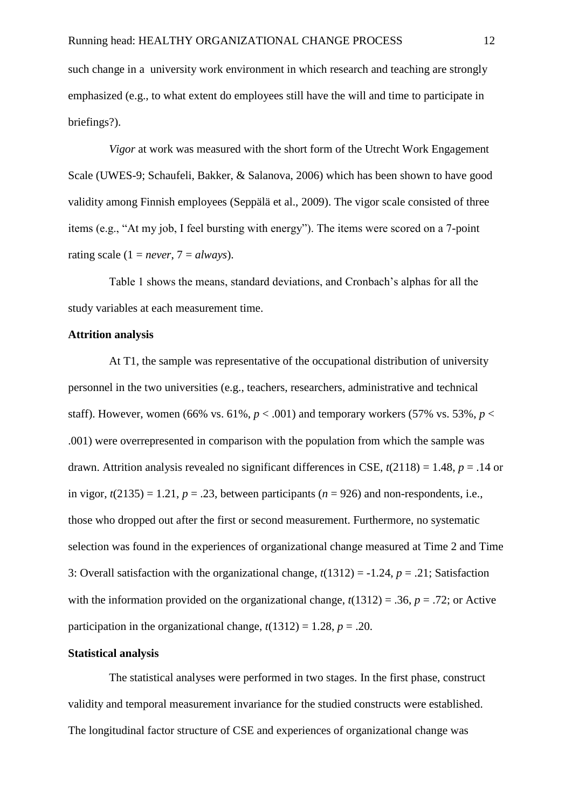such change in a university work environment in which research and teaching are strongly emphasized (e.g., to what extent do employees still have the will and time to participate in briefings?).

*Vigor* at work was measured with the short form of the Utrecht Work Engagement Scale (UWES-9; Schaufeli, Bakker, & Salanova, 2006) which has been shown to have good validity among Finnish employees (Seppälä et al., 2009). The vigor scale consisted of three items (e.g., "At my job, I feel bursting with energy"). The items were scored on a 7-point rating scale  $(1 = never, 7 = always)$ .

Table 1 shows the means, standard deviations, and Cronbach's alphas for all the study variables at each measurement time.

## **Attrition analysis**

At T1, the sample was representative of the occupational distribution of university personnel in the two universities (e.g., teachers, researchers, administrative and technical staff). However, women (66% vs. 61%,  $p < .001$ ) and temporary workers (57% vs. 53%,  $p <$ .001) were overrepresented in comparison with the population from which the sample was drawn. Attrition analysis revealed no significant differences in CSE, *t*(2118) = 1.48, *p* = .14 or in vigor,  $t(2135) = 1.21$ ,  $p = .23$ , between participants ( $n = 926$ ) and non-respondents, i.e., those who dropped out after the first or second measurement. Furthermore, no systematic selection was found in the experiences of organizational change measured at Time 2 and Time 3: Overall satisfaction with the organizational change, *t*(1312) = -1.24, *p* = .21; Satisfaction with the information provided on the organizational change,  $t(1312) = .36$ ,  $p = .72$ ; or Active participation in the organizational change,  $t(1312) = 1.28$ ,  $p = .20$ .

## **Statistical analysis**

The statistical analyses were performed in two stages. In the first phase, construct validity and temporal measurement invariance for the studied constructs were established. The longitudinal factor structure of CSE and experiences of organizational change was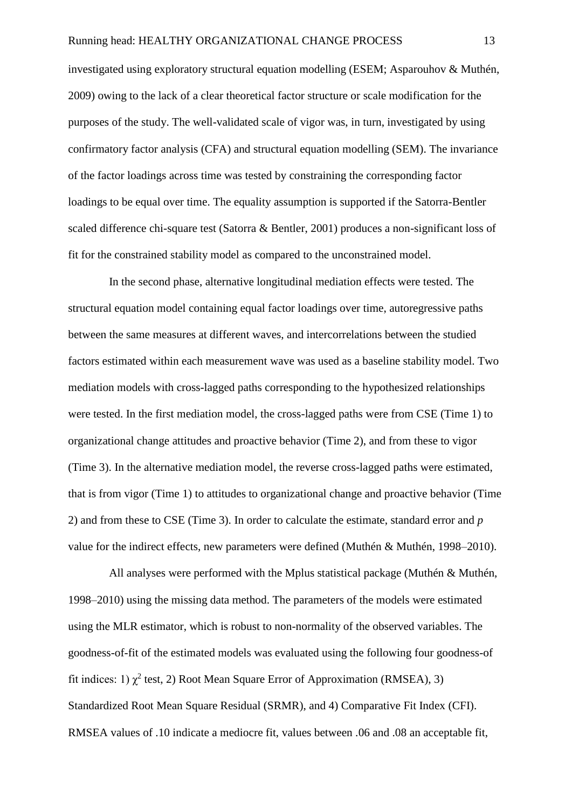investigated using exploratory structural equation modelling (ESEM; Asparouhov & Muthén, 2009) owing to the lack of a clear theoretical factor structure or scale modification for the purposes of the study. The well-validated scale of vigor was, in turn, investigated by using confirmatory factor analysis (CFA) and structural equation modelling (SEM). The invariance of the factor loadings across time was tested by constraining the corresponding factor loadings to be equal over time. The equality assumption is supported if the Satorra-Bentler scaled difference chi-square test (Satorra & Bentler, 2001) produces a non-significant loss of fit for the constrained stability model as compared to the unconstrained model.

In the second phase, alternative longitudinal mediation effects were tested. The structural equation model containing equal factor loadings over time, autoregressive paths between the same measures at different waves, and intercorrelations between the studied factors estimated within each measurement wave was used as a baseline stability model. Two mediation models with cross-lagged paths corresponding to the hypothesized relationships were tested. In the first mediation model, the cross-lagged paths were from CSE (Time 1) to organizational change attitudes and proactive behavior (Time 2), and from these to vigor (Time 3). In the alternative mediation model, the reverse cross-lagged paths were estimated, that is from vigor (Time 1) to attitudes to organizational change and proactive behavior (Time 2) and from these to CSE (Time 3). In order to calculate the estimate, standard error and *p* value for the indirect effects, new parameters were defined (Muthén & Muthén, 1998–2010).

All analyses were performed with the Mplus statistical package (Muthén & Muthén, 1998–2010) using the missing data method. The parameters of the models were estimated using the MLR estimator, which is robust to non-normality of the observed variables. The goodness-of-fit of the estimated models was evaluated using the following four goodness-of fit indices: 1)  $\chi^2$  test, 2) Root Mean Square Error of Approximation (RMSEA), 3) Standardized Root Mean Square Residual (SRMR), and 4) Comparative Fit Index (CFI). RMSEA values of .10 indicate a mediocre fit, values between .06 and .08 an acceptable fit,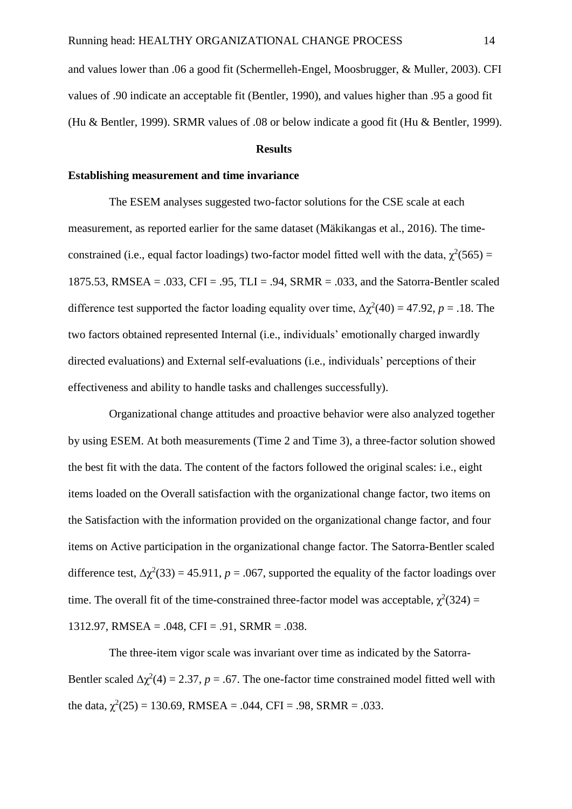and values lower than .06 a good fit (Schermelleh-Engel, Moosbrugger, & Muller, 2003). CFI values of .90 indicate an acceptable fit (Bentler, 1990), and values higher than .95 a good fit (Hu & Bentler, 1999). SRMR values of .08 or below indicate a good fit (Hu & Bentler, 1999).

#### **Results**

## **Establishing measurement and time invariance**

The ESEM analyses suggested two-factor solutions for the CSE scale at each measurement, as reported earlier for the same dataset (Mäkikangas et al., 2016). The timeconstrained (i.e., equal factor loadings) two-factor model fitted well with the data,  $\chi^2(565)$  = 1875.53, RMSEA =  $.033$ , CFI =  $.95$ , TLI =  $.94$ , SRMR =  $.033$ , and the Satorra-Bentler scaled difference test supported the factor loading equality over time,  $\Delta \chi^2(40) = 47.92$ , *p* = .18. The two factors obtained represented Internal (i.e., individuals' emotionally charged inwardly directed evaluations) and External self-evaluations (i.e., individuals' perceptions of their effectiveness and ability to handle tasks and challenges successfully).

Organizational change attitudes and proactive behavior were also analyzed together by using ESEM. At both measurements (Time 2 and Time 3), a three-factor solution showed the best fit with the data. The content of the factors followed the original scales: i.e., eight items loaded on the Overall satisfaction with the organizational change factor, two items on the Satisfaction with the information provided on the organizational change factor, and four items on Active participation in the organizational change factor. The Satorra-Bentler scaled difference test,  $\Delta \chi^2(33) = 45.911$ ,  $p = .067$ , supported the equality of the factor loadings over time. The overall fit of the time-constrained three-factor model was acceptable,  $\chi^2(324)$  = 1312.97, RMSEA = .048, CFI = .91, SRMR = .038.

The three-item vigor scale was invariant over time as indicated by the Satorra-Bentler scaled  $\Delta \chi^2(4) = 2.37$ ,  $p = .67$ . The one-factor time constrained model fitted well with the data,  $\chi^2(25) = 130.69$ , RMSEA = .044, CFI = .98, SRMR = .033.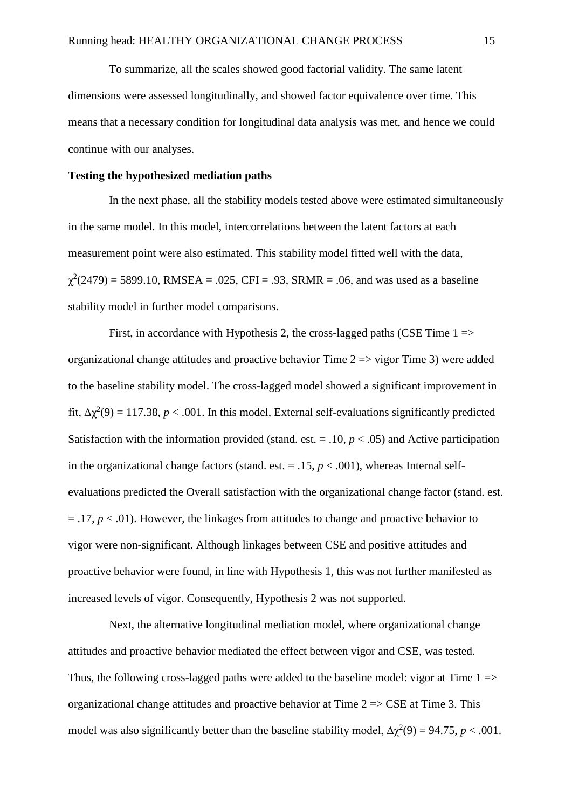To summarize, all the scales showed good factorial validity. The same latent dimensions were assessed longitudinally, and showed factor equivalence over time. This means that a necessary condition for longitudinal data analysis was met, and hence we could continue with our analyses.

## **Testing the hypothesized mediation paths**

In the next phase, all the stability models tested above were estimated simultaneously in the same model. In this model, intercorrelations between the latent factors at each measurement point were also estimated. This stability model fitted well with the data,  $\chi^2(2479) = 5899.10$ , RMSEA = .025, CFI = .93, SRMR = .06, and was used as a baseline stability model in further model comparisons.

First, in accordance with Hypothesis 2, the cross-lagged paths (CSE Time  $1 \Rightarrow$ organizational change attitudes and proactive behavior Time  $2 \Rightarrow$  vigor Time 3) were added to the baseline stability model. The cross-lagged model showed a significant improvement in fit,  $Δχ²(9) = 117.38, p < .001$ . In this model, External self-evaluations significantly predicted Satisfaction with the information provided (stand. est.  $= .10, p < .05$ ) and Active participation in the organizational change factors (stand. est.  $= .15$ ,  $p < .001$ ), whereas Internal selfevaluations predicted the Overall satisfaction with the organizational change factor (stand. est.  $= .17, p < .01$ ). However, the linkages from attitudes to change and proactive behavior to vigor were non-significant. Although linkages between CSE and positive attitudes and proactive behavior were found, in line with Hypothesis 1, this was not further manifested as increased levels of vigor. Consequently, Hypothesis 2 was not supported.

Next, the alternative longitudinal mediation model, where organizational change attitudes and proactive behavior mediated the effect between vigor and CSE, was tested. Thus, the following cross-lagged paths were added to the baseline model: vigor at Time  $1 \Rightarrow$ organizational change attitudes and proactive behavior at Time  $2 \Rightarrow \text{CSE}$  at Time 3. This model was also significantly better than the baseline stability model,  $\Delta \chi^2(9) = 94.75$ ,  $p < .001$ .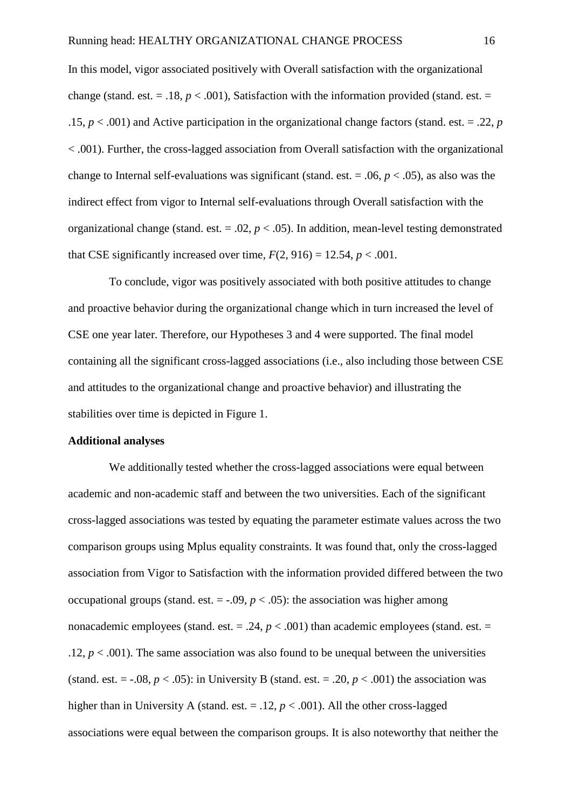In this model, vigor associated positively with Overall satisfaction with the organizational change (stand. est.  $= .18$ ,  $p < .001$ ), Satisfaction with the information provided (stand. est.  $=$ .15,  $p < .001$ ) and Active participation in the organizational change factors (stand. est. = .22, *p* < .001). Further, the cross-lagged association from Overall satisfaction with the organizational change to Internal self-evaluations was significant (stand. est.  $= .06, p < .05$ ), as also was the indirect effect from vigor to Internal self-evaluations through Overall satisfaction with the organizational change (stand. est.  $= .02$ ,  $p < .05$ ). In addition, mean-level testing demonstrated that CSE significantly increased over time,  $F(2, 916) = 12.54$ ,  $p < .001$ .

To conclude, vigor was positively associated with both positive attitudes to change and proactive behavior during the organizational change which in turn increased the level of CSE one year later. Therefore, our Hypotheses 3 and 4 were supported. The final model containing all the significant cross-lagged associations (i.e., also including those between CSE and attitudes to the organizational change and proactive behavior) and illustrating the stabilities over time is depicted in Figure 1.

## **Additional analyses**

We additionally tested whether the cross-lagged associations were equal between academic and non-academic staff and between the two universities. Each of the significant cross-lagged associations was tested by equating the parameter estimate values across the two comparison groups using Mplus equality constraints. It was found that, only the cross-lagged association from Vigor to Satisfaction with the information provided differed between the two occupational groups (stand. est.  $=$  -.09,  $p < .05$ ): the association was higher among nonacademic employees (stand. est.  $= .24$ ,  $p < .001$ ) than academic employees (stand. est.  $=$ .12,  $p < .001$ ). The same association was also found to be unequal between the universities (stand. est.  $= -.08$ ,  $p < .05$ ): in University B (stand. est.  $= .20$ ,  $p < .001$ ) the association was higher than in University A (stand. est.  $= .12$ ,  $p < .001$ ). All the other cross-lagged associations were equal between the comparison groups. It is also noteworthy that neither the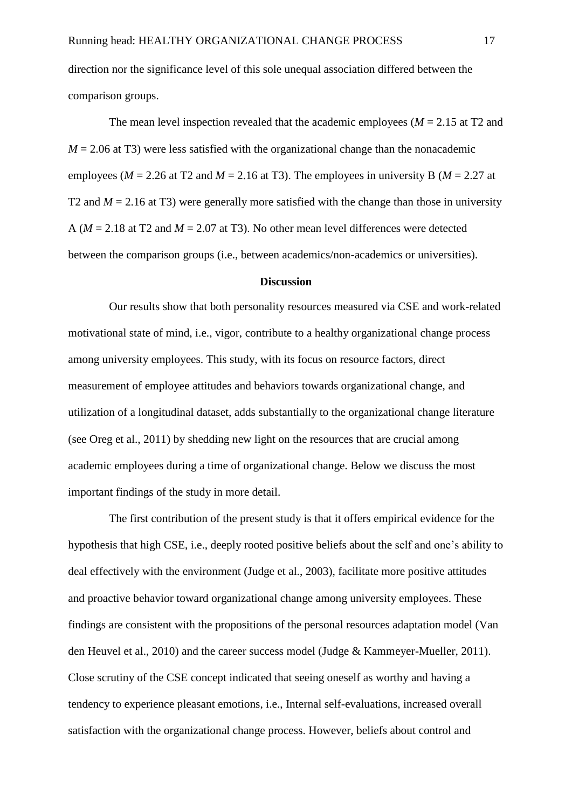direction nor the significance level of this sole unequal association differed between the comparison groups.

The mean level inspection revealed that the academic employees ( $M = 2.15$  at T2 and  $M = 2.06$  at T3) were less satisfied with the organizational change than the nonacademic employees ( $M = 2.26$  at T2 and  $M = 2.16$  at T3). The employees in university B ( $M = 2.27$  at T2 and  $M = 2.16$  at T3) were generally more satisfied with the change than those in university A ( $M = 2.18$  at T2 and  $M = 2.07$  at T3). No other mean level differences were detected between the comparison groups (i.e., between academics/non-academics or universities).

### **Discussion**

Our results show that both personality resources measured via CSE and work-related motivational state of mind, i.e., vigor, contribute to a healthy organizational change process among university employees. This study, with its focus on resource factors, direct measurement of employee attitudes and behaviors towards organizational change, and utilization of a longitudinal dataset, adds substantially to the organizational change literature (see Oreg et al., 2011) by shedding new light on the resources that are crucial among academic employees during a time of organizational change. Below we discuss the most important findings of the study in more detail.

The first contribution of the present study is that it offers empirical evidence for the hypothesis that high CSE, i.e., deeply rooted positive beliefs about the self and one's ability to deal effectively with the environment (Judge et al., 2003), facilitate more positive attitudes and proactive behavior toward organizational change among university employees. These findings are consistent with the propositions of the personal resources adaptation model (Van den Heuvel et al., 2010) and the career success model (Judge & Kammeyer-Mueller, 2011). Close scrutiny of the CSE concept indicated that seeing oneself as worthy and having a tendency to experience pleasant emotions, i.e., Internal self-evaluations, increased overall satisfaction with the organizational change process. However, beliefs about control and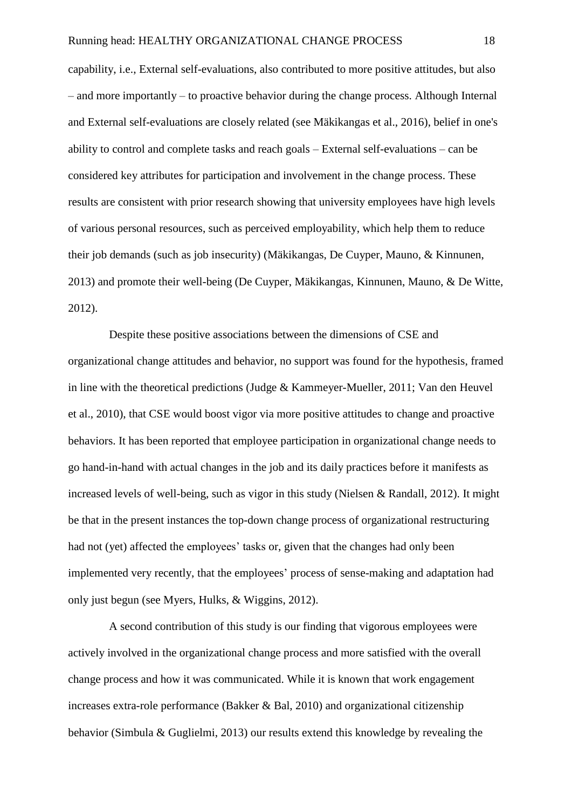capability, i.e., External self-evaluations, also contributed to more positive attitudes, but also – and more importantly – to proactive behavior during the change process. Although Internal and External self-evaluations are closely related (see Mäkikangas et al., 2016), belief in one's ability to control and complete tasks and reach goals – External self-evaluations – can be considered key attributes for participation and involvement in the change process. These results are consistent with prior research showing that university employees have high levels of various personal resources, such as perceived employability, which help them to reduce their job demands (such as job insecurity) (Mäkikangas, De Cuyper, Mauno, & Kinnunen, 2013) and promote their well-being (De Cuyper, Mäkikangas, Kinnunen, Mauno, & De Witte, 2012).

Despite these positive associations between the dimensions of CSE and organizational change attitudes and behavior, no support was found for the hypothesis, framed in line with the theoretical predictions (Judge & Kammeyer-Mueller, 2011; Van den Heuvel et al., 2010), that CSE would boost vigor via more positive attitudes to change and proactive behaviors. It has been reported that employee participation in organizational change needs to go hand-in-hand with actual changes in the job and its daily practices before it manifests as increased levels of well-being, such as vigor in this study (Nielsen & Randall, 2012). It might be that in the present instances the top-down change process of organizational restructuring had not (yet) affected the employees' tasks or, given that the changes had only been implemented very recently, that the employees' process of sense-making and adaptation had only just begun (see Myers, Hulks, & Wiggins, 2012).

A second contribution of this study is our finding that vigorous employees were actively involved in the organizational change process and more satisfied with the overall change process and how it was communicated. While it is known that work engagement increases extra-role performance (Bakker & Bal, 2010) and organizational citizenship behavior (Simbula & Guglielmi, 2013) our results extend this knowledge by revealing the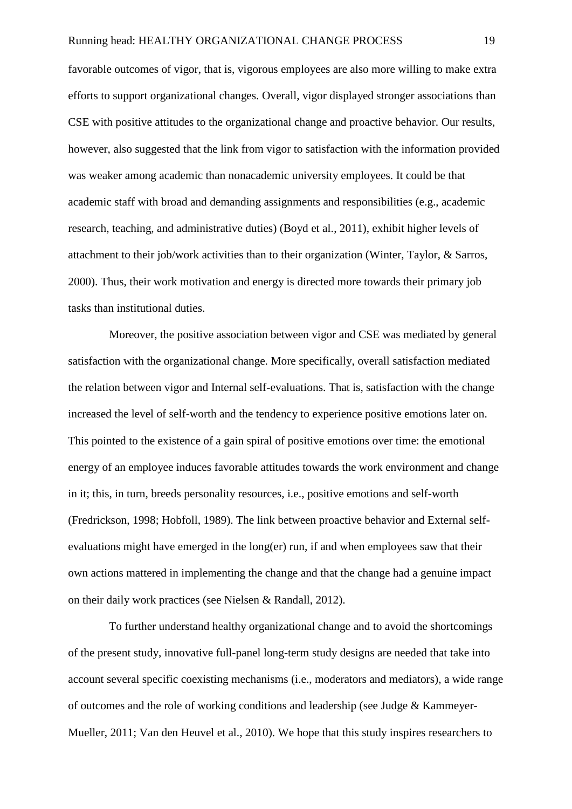favorable outcomes of vigor, that is, vigorous employees are also more willing to make extra efforts to support organizational changes. Overall, vigor displayed stronger associations than CSE with positive attitudes to the organizational change and proactive behavior. Our results, however, also suggested that the link from vigor to satisfaction with the information provided was weaker among academic than nonacademic university employees. It could be that academic staff with broad and demanding assignments and responsibilities (e.g., academic research, teaching, and administrative duties) (Boyd et al., 2011), exhibit higher levels of attachment to their job/work activities than to their organization (Winter, Taylor, & Sarros, 2000). Thus, their work motivation and energy is directed more towards their primary job tasks than institutional duties.

Moreover, the positive association between vigor and CSE was mediated by general satisfaction with the organizational change. More specifically, overall satisfaction mediated the relation between vigor and Internal self-evaluations. That is, satisfaction with the change increased the level of self-worth and the tendency to experience positive emotions later on. This pointed to the existence of a gain spiral of positive emotions over time: the emotional energy of an employee induces favorable attitudes towards the work environment and change in it; this, in turn, breeds personality resources, i.e., positive emotions and self-worth (Fredrickson, 1998; Hobfoll, 1989). The link between proactive behavior and External selfevaluations might have emerged in the long(er) run, if and when employees saw that their own actions mattered in implementing the change and that the change had a genuine impact on their daily work practices (see Nielsen & Randall, 2012).

To further understand healthy organizational change and to avoid the shortcomings of the present study, innovative full-panel long-term study designs are needed that take into account several specific coexisting mechanisms (i.e., moderators and mediators), a wide range of outcomes and the role of working conditions and leadership (see Judge & Kammeyer-Mueller, 2011; Van den Heuvel et al., 2010). We hope that this study inspires researchers to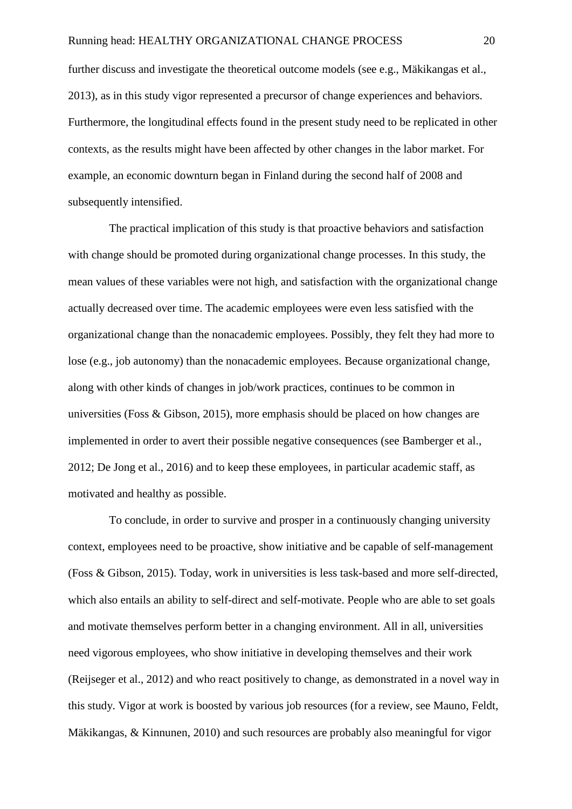further discuss and investigate the theoretical outcome models (see e.g., Mäkikangas et al., 2013), as in this study vigor represented a precursor of change experiences and behaviors. Furthermore, the longitudinal effects found in the present study need to be replicated in other contexts, as the results might have been affected by other changes in the labor market. For example, an economic downturn began in Finland during the second half of 2008 and subsequently intensified.

The practical implication of this study is that proactive behaviors and satisfaction with change should be promoted during organizational change processes. In this study, the mean values of these variables were not high, and satisfaction with the organizational change actually decreased over time. The academic employees were even less satisfied with the organizational change than the nonacademic employees. Possibly, they felt they had more to lose (e.g., job autonomy) than the nonacademic employees. Because organizational change, along with other kinds of changes in job/work practices, continues to be common in universities (Foss & Gibson, 2015), more emphasis should be placed on how changes are implemented in order to avert their possible negative consequences (see Bamberger et al., 2012; De Jong et al., 2016) and to keep these employees, in particular academic staff, as motivated and healthy as possible.

To conclude, in order to survive and prosper in a continuously changing university context, employees need to be proactive, show initiative and be capable of self-management (Foss & Gibson, 2015). Today, work in universities is less task-based and more self-directed, which also entails an ability to self-direct and self-motivate. People who are able to set goals and motivate themselves perform better in a changing environment. All in all, universities need vigorous employees, who show initiative in developing themselves and their work (Reijseger et al., 2012) and who react positively to change, as demonstrated in a novel way in this study. Vigor at work is boosted by various job resources (for a review, see Mauno, Feldt, Mäkikangas, & Kinnunen, 2010) and such resources are probably also meaningful for vigor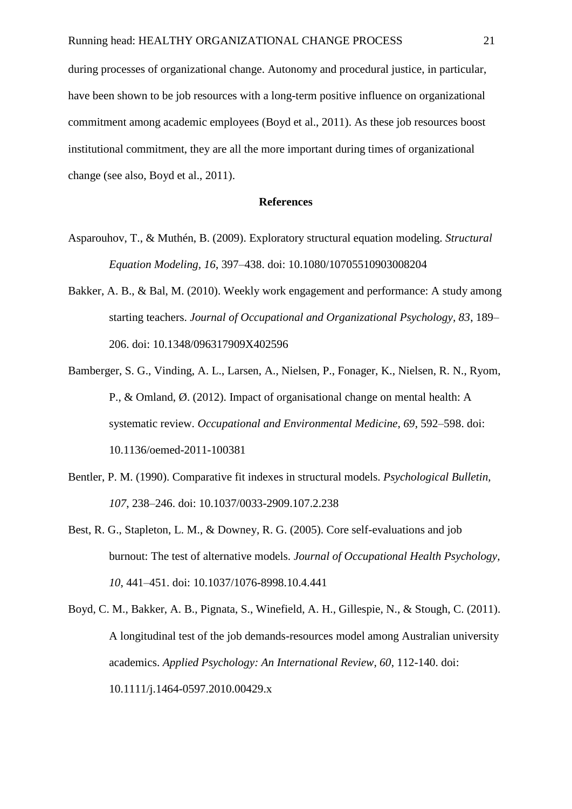during processes of organizational change. Autonomy and procedural justice, in particular, have been shown to be job resources with a long-term positive influence on organizational commitment among academic employees (Boyd et al., 2011). As these job resources boost institutional commitment, they are all the more important during times of organizational change (see also, Boyd et al., 2011).

### **References**

- Asparouhov, T., & Muthén, B. (2009). Exploratory structural equation modeling. *Structural Equation Modeling, 16*, 397–438. doi: 10.1080/10705510903008204
- Bakker, A. B., & Bal, M. (2010). Weekly work engagement and performance: A study among starting teachers. *Journal of Occupational and Organizational Psychology, 83*, 189– 206. doi: 10.1348/096317909X402596
- Bamberger, S. G., Vinding, A. L., Larsen, A., Nielsen, P., Fonager, K., Nielsen, R. N., Ryom, P., & Omland, Ø. (2012). Impact of organisational change on mental health: A systematic review. *Occupational and Environmental Medicine, 69*, 592–598. doi: 10.1136/oemed-2011-100381
- Bentler, P. M. (1990). Comparative fit indexes in structural models. *Psychological Bulletin, 107*, 238–246. doi: 10.1037/0033-2909.107.2.238
- Best, R. G., Stapleton, L. M., & Downey, R. G. (2005). Core self-evaluations and job burnout: The test of alternative models. *Journal of Occupational Health Psychology, 10*, 441–451. doi: 10.1037/1076-8998.10.4.441
- Boyd, C. M., Bakker, A. B., Pignata, S., Winefield, A. H., Gillespie, N., & Stough, C. (2011). A longitudinal test of the job demands-resources model among Australian university academics. *Applied Psychology: An International Review, 60*, 112-140. doi: 10.1111/j.1464-0597.2010.00429.x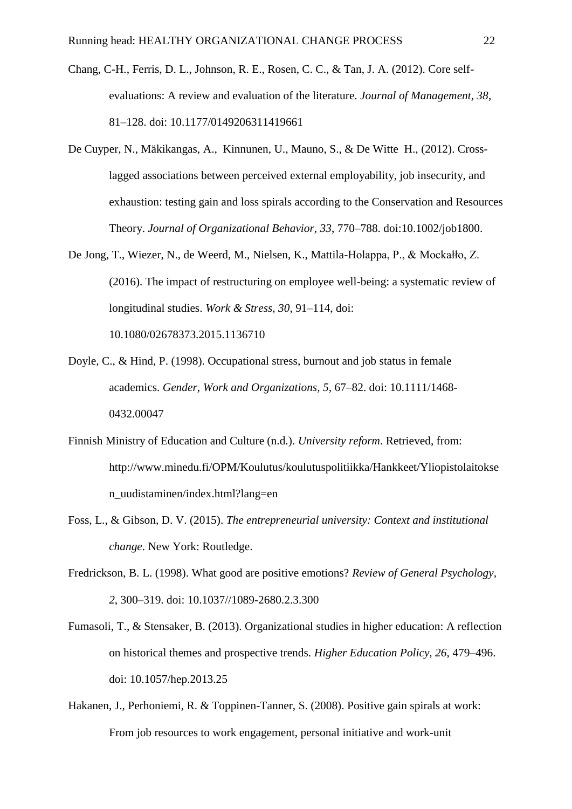- Chang, C-H., Ferris, D. L., Johnson, R. E., Rosen, C. C., & Tan, J. A. (2012). Core selfevaluations: A review and evaluation of the literature. *Journal of Management, 38*, 81–128. doi: 10.1177/0149206311419661
- De Cuyper, N., Mäkikangas, A., Kinnunen, U., Mauno, S., & De Witte H., (2012). Crosslagged associations between perceived external employability, job insecurity, and exhaustion: testing gain and loss spirals according to the Conservation and Resources Theory. *Journal of Organizational Behavior, 33*, 770–788. doi:10.1002/job1800.
- De Jong, T., Wiezer, N., de Weerd, M., Nielsen, K., Mattila-Holappa, P., & Mockałło, Z. (2016). The impact of restructuring on employee well-being: a systematic review of longitudinal studies. *Work & Stress, 30*, 91–114, doi:

10.1080/02678373.2015.1136710

- Doyle, C., & Hind, P. (1998). Occupational stress, burnout and job status in female academics. *Gender, Work and Organizations, 5*, 67–82. doi: 10.1111/1468- 0432.00047
- Finnish Ministry of Education and Culture (n.d.). *University reform*. Retrieved, from: http://www.minedu.fi/OPM/Koulutus/koulutuspolitiikka/Hankkeet/Yliopistolaitokse n\_uudistaminen/index.html?lang=en
- Foss, L., & Gibson, D. V. (2015). *The entrepreneurial university: Context and institutional change*. New York: Routledge.
- Fredrickson, B. L. (1998). What good are positive emotions? *Review of General Psychology, 2*, 300–319. doi: 10.1037//1089-2680.2.3.300
- Fumasoli, T., & Stensaker, B. (2013). Organizational studies in higher education: A reflection on historical themes and prospective trends. *Higher Education Policy, 26*, 479–496. doi: 10.1057/hep.2013.25
- Hakanen, J., Perhoniemi, R. & Toppinen-Tanner, S. (2008). Positive gain spirals at work: From job resources to work engagement, personal initiative and work-unit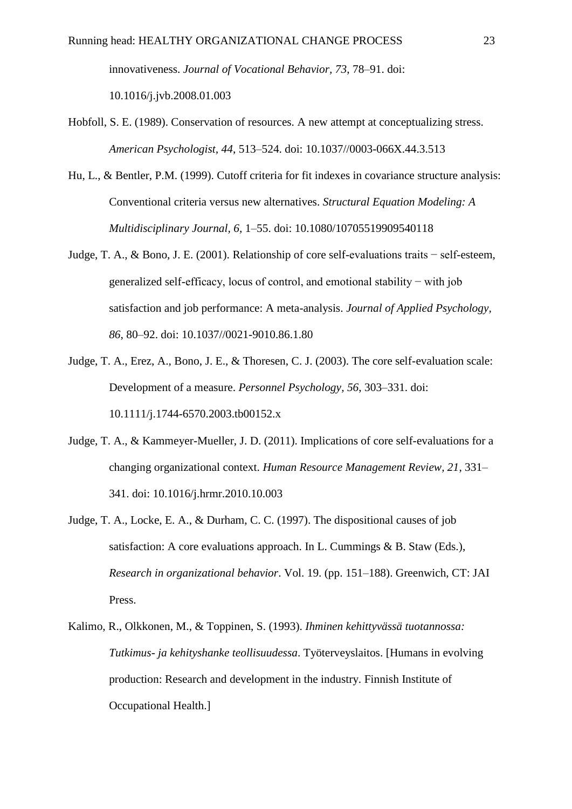innovativeness. *Journal of Vocational Behavior, 73*, 78–91. doi: 10.1016/j.jvb.2008.01.003

- Hobfoll, S. E. (1989). Conservation of resources. A new attempt at conceptualizing stress. *American Psychologist, 44*, 513–524. doi: 10.1037//0003-066X.44.3.513
- Hu, L., & Bentler, P.M. (1999). Cutoff criteria for fit indexes in covariance structure analysis: Conventional criteria versus new alternatives. *Structural Equation Modeling: A Multidisciplinary Journal, 6,* 1–55. doi: 10.1080/10705519909540118
- Judge, T. A., & Bono, J. E. (2001). Relationship of core self-evaluations traits − self-esteem, generalized self-efficacy, locus of control, and emotional stability − with job satisfaction and job performance: A meta-analysis. *Journal of Applied Psychology, 86*, 80–92. doi: 10.1037//0021-9010.86.1.80
- Judge, T. A., Erez, A., Bono, J. E., & Thoresen, C. J. (2003). The core self-evaluation scale: Development of a measure. *Personnel Psychology, 56*, 303–331. doi: 10.1111/j.1744-6570.2003.tb00152.x
- Judge, T. A., & Kammeyer-Mueller, J. D. (2011). Implications of core self-evaluations for a changing organizational context. *Human Resource Management Review, 21*, 331– 341. doi: 10.1016/j.hrmr.2010.10.003
- Judge, T. A., Locke, E. A., & Durham, C. C. (1997). The dispositional causes of job satisfaction: A core evaluations approach. In L. Cummings & B. Staw (Eds.), *Research in organizational behavior*. Vol. 19. (pp. 151–188). Greenwich, CT: JAI Press.
- Kalimo, R., Olkkonen, M., & Toppinen, S. (1993). *Ihminen kehittyvässä tuotannossa: Tutkimus- ja kehityshanke teollisuudessa*. Työterveyslaitos. [Humans in evolving production: Research and development in the industry. Finnish Institute of Occupational Health.]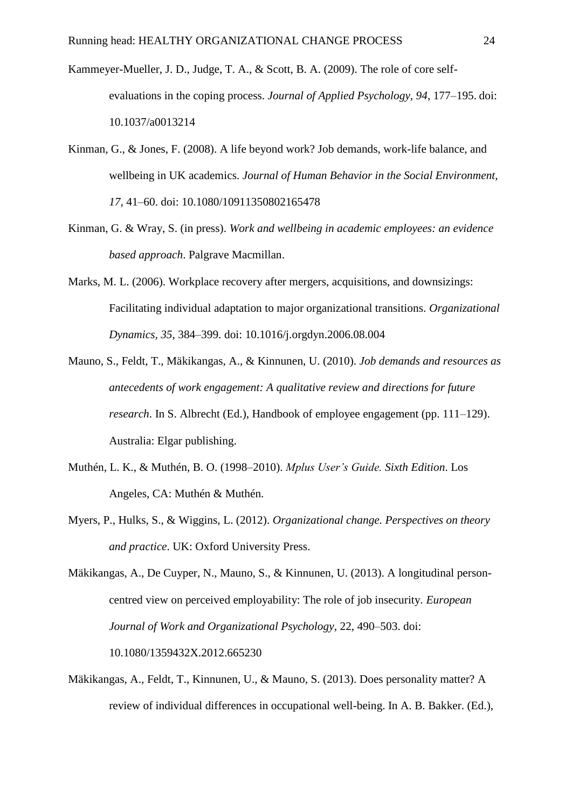- Kammeyer-Mueller, J. D., Judge, T. A., & Scott, B. A. (2009). The role of core selfevaluations in the coping process. *Journal of Applied Psychology, 94*, 177–195. doi: 10.1037/a0013214
- Kinman, G., & Jones, F. (2008). A life beyond work? Job demands, work-life balance, and wellbeing in UK academics. *Journal of Human Behavior in the Social Environment, 17*, 41–60. doi: 10.1080/10911350802165478
- Kinman, G. & Wray, S. (in press). *Work and wellbeing in academic employees: an evidence based approach*. Palgrave Macmillan.
- Marks, M. L. (2006). Workplace recovery after mergers, acquisitions, and downsizings: Facilitating individual adaptation to major organizational transitions. *Organizational Dynamics, 35*, 384–399. doi: 10.1016/j.orgdyn.2006.08.004
- Mauno, S., Feldt, T., Mäkikangas, A., & Kinnunen, U. (2010). *Job demands and resources as antecedents of work engagement: A qualitative review and directions for future research*. In S. Albrecht (Ed.), Handbook of employee engagement (pp. 111–129). Australia: Elgar publishing.
- Muthén, L. K., & Muthén, B. O. (1998–2010). *Mplus User's Guide. Sixth Edition*. Los Angeles, CA: Muthén & Muthén.
- Myers, P., Hulks, S., & Wiggins, L. (2012). *Organizational change. Perspectives on theory and practice*. UK: Oxford University Press.

Mäkikangas, A., De Cuyper, N., Mauno, S., & Kinnunen, U. (2013). A longitudinal personcentred view on perceived employability: The role of job insecurity. *European Journal of Work and Organizational Psychology*, 22, 490–503. doi: 10.1080/1359432X.2012.665230

Mäkikangas, A., Feldt, T., Kinnunen, U., & Mauno, S. (2013). Does personality matter? A review of individual differences in occupational well-being. In A. B. Bakker. (Ed.),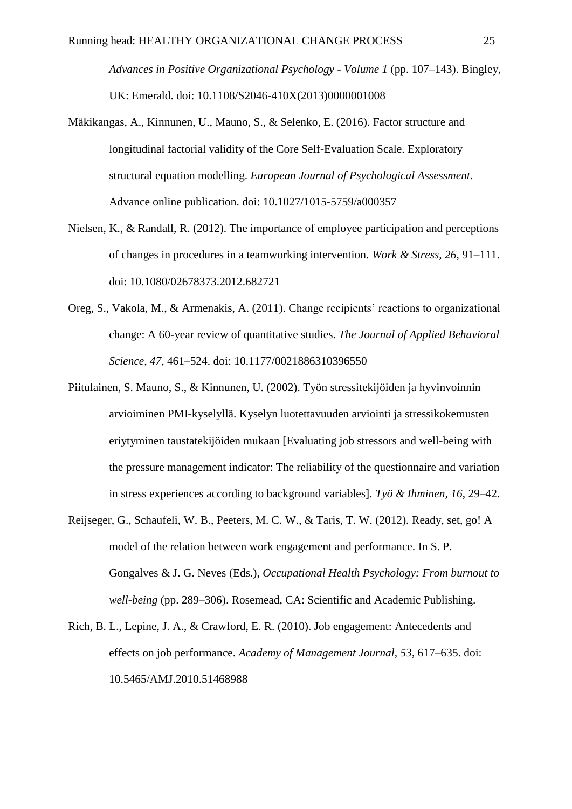*Advances in Positive Organizational Psychology - Volume 1* (pp. 107–143). Bingley, UK: Emerald. doi: 10.1108/S2046-410X(2013)0000001008

- Mäkikangas, A., Kinnunen, U., Mauno, S., & Selenko, E. (2016). Factor structure and longitudinal factorial validity of the Core Self-Evaluation Scale. Exploratory structural equation modelling. *European Journal of Psychological Assessment*. Advance online publication. doi: 10.1027/1015-5759/a000357
- Nielsen, K., & Randall, R. (2012). The importance of employee participation and perceptions of changes in procedures in a teamworking intervention. *Work & Stress, 26*, 91–111. doi: 10.1080/02678373.2012.682721
- Oreg, S., Vakola, M., & Armenakis, A. (2011). Change recipients' reactions to organizational change: A 60-year review of quantitative studies. *The Journal of Applied Behavioral Science, 47*, 461–524. doi: 10.1177/0021886310396550
- Piitulainen, S. Mauno, S., & Kinnunen, U. (2002). Työn stressitekijöiden ja hyvinvoinnin arvioiminen PMI-kyselyllä. Kyselyn luotettavuuden arviointi ja stressikokemusten eriytyminen taustatekijöiden mukaan [Evaluating job stressors and well-being with the pressure management indicator: The reliability of the questionnaire and variation in stress experiences according to background variables]. *Työ & Ihminen, 16*, 29–42.
- Reijseger, G., Schaufeli, W. B., Peeters, M. C. W., & Taris, T. W. (2012). Ready, set, go! A model of the relation between work engagement and performance. In S. P. Gongalves & J. G. Neves (Eds.), *Occupational Health Psychology: From burnout to well-being* (pp. 289–306). Rosemead, CA: Scientific and Academic Publishing.
- Rich, B. L., Lepine, J. A., & Crawford, E. R. (2010). Job engagement: Antecedents and effects on job performance. *Academy of Management Journal, 53*, 617–635. doi: 10.5465/AMJ.2010.51468988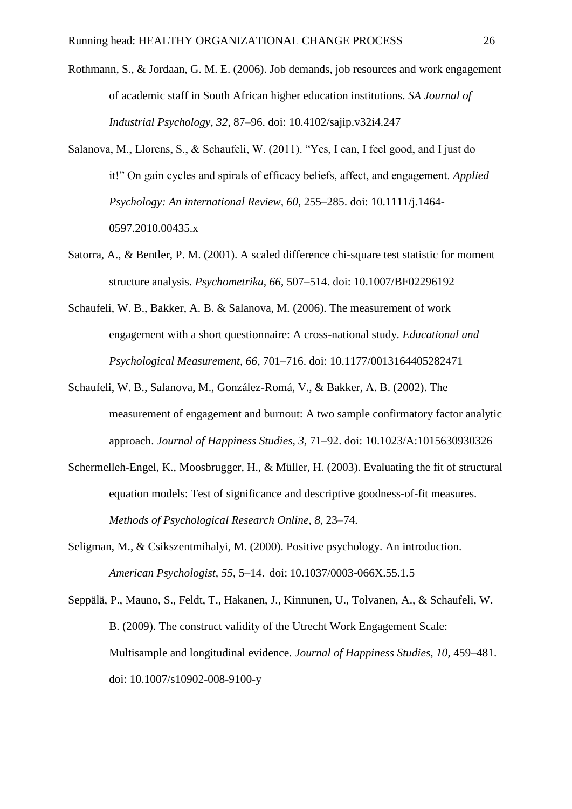- Rothmann, S., & Jordaan, G. M. E. (2006). Job demands, job resources and work engagement of academic staff in South African higher education institutions. *SA Journal of Industrial Psychology, 32*, 87–96. doi: 10.4102/sajip.v32i4.247
- Salanova, M., Llorens, S., & Schaufeli, W. (2011). "Yes, I can, I feel good, and I just do it!" On gain cycles and spirals of efficacy beliefs, affect, and engagement. *Applied Psychology: An international Review, 60*, 255–285. doi: 10.1111/j.1464- 0597.2010.00435.x
- Satorra, A., & Bentler, P. M. (2001). A scaled difference chi-square test statistic for moment structure analysis. *Psychometrika, 66*, 507–514. doi: 10.1007/BF02296192
- Schaufeli, W. B., Bakker, A. B. & Salanova, M. (2006). The measurement of work engagement with a short questionnaire: A cross-national study. *Educational and Psychological Measurement, 66*, 701–716. doi: 10.1177/0013164405282471
- Schaufeli, W. B., Salanova, M., González-Romá, V., & Bakker, A. B. (2002). The measurement of engagement and burnout: A two sample confirmatory factor analytic approach. *Journal of Happiness Studies, 3*, 71–92. doi: 10.1023/A:1015630930326
- Schermelleh-Engel, K., Moosbrugger, H., & Müller, H. (2003). Evaluating the fit of structural equation models: Test of significance and descriptive goodness-of-fit measures. *Methods of Psychological Research Online, 8*, 23–74.
- Seligman, M., & Csikszentmihalyi, M. (2000). Positive psychology. An introduction. *American Psychologist, 55*, 5–14. doi: 10.1037/0003-066X.55.1.5
- Seppälä, P., Mauno, S., Feldt, T., Hakanen, J., Kinnunen, U., Tolvanen, A., & Schaufeli, W. B. (2009). The construct validity of the Utrecht Work Engagement Scale: Multisample and longitudinal evidence. *Journal of Happiness Studies, 10*, 459–481. doi: 10.1007/s10902-008-9100-y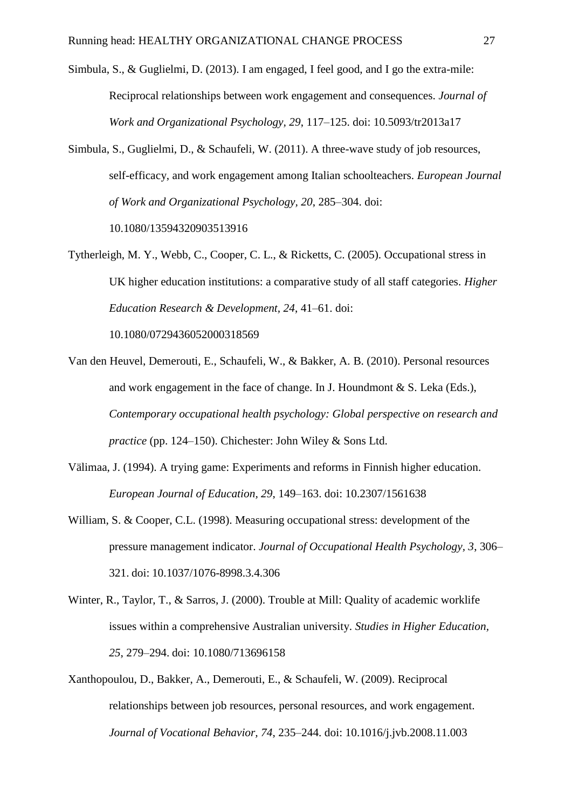- Simbula, S., & Guglielmi, D. (2013). I am engaged, I feel good, and I go the extra-mile: Reciprocal relationships between work engagement and consequences. *Journal of Work and Organizational Psychology, 29*, 117–125. doi: 10.5093/tr2013a17
- Simbula, S., Guglielmi, D., & Schaufeli, W. (2011). A three-wave study of job resources, self-efficacy, and work engagement among Italian schoolteachers. *European Journal of Work and Organizational Psychology, 20*, 285–304. doi: 10.1080/13594320903513916
- Tytherleigh, M. Y., Webb, C., Cooper, C. L., & Ricketts, C. (2005). Occupational stress in UK higher education institutions: a comparative study of all staff categories. *Higher Education Research & Development, 24*, 41–61. doi:

10.1080/0729436052000318569

- Van den Heuvel, Demerouti, E., Schaufeli, W., & Bakker, A. B. (2010). Personal resources and work engagement in the face of change. In J. Houndmont & S. Leka (Eds.), *Contemporary occupational health psychology: Global perspective on research and practice* (pp. 124–150). Chichester: John Wiley & Sons Ltd.
- Välimaa, J. (1994). A trying game: Experiments and reforms in Finnish higher education. *European Journal of Education, 29*, 149–163. doi: 10.2307/1561638
- William, S. & Cooper, C.L. (1998). Measuring occupational stress: development of the pressure management indicator. *Journal of Occupational Health Psychology, 3*, 306– 321. doi: 10.1037/1076-8998.3.4.306
- Winter, R., Taylor, T., & Sarros, J. (2000). Trouble at Mill: Quality of academic worklife issues within a comprehensive Australian university. *Studies in Higher Education, 25*, 279–294. doi: 10.1080/713696158
- Xanthopoulou, D., Bakker, A., Demerouti, E., & Schaufeli, W. (2009). Reciprocal relationships between job resources, personal resources, and work engagement. *Journal of Vocational Behavior, 74*, 235–244. doi: 10.1016/j.jvb.2008.11.003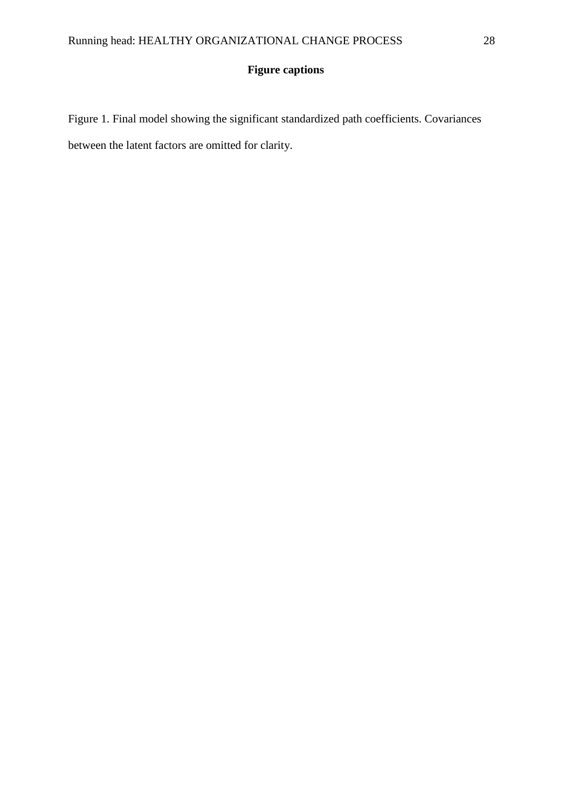# **Figure captions**

Figure 1. Final model showing the significant standardized path coefficients. Covariances between the latent factors are omitted for clarity.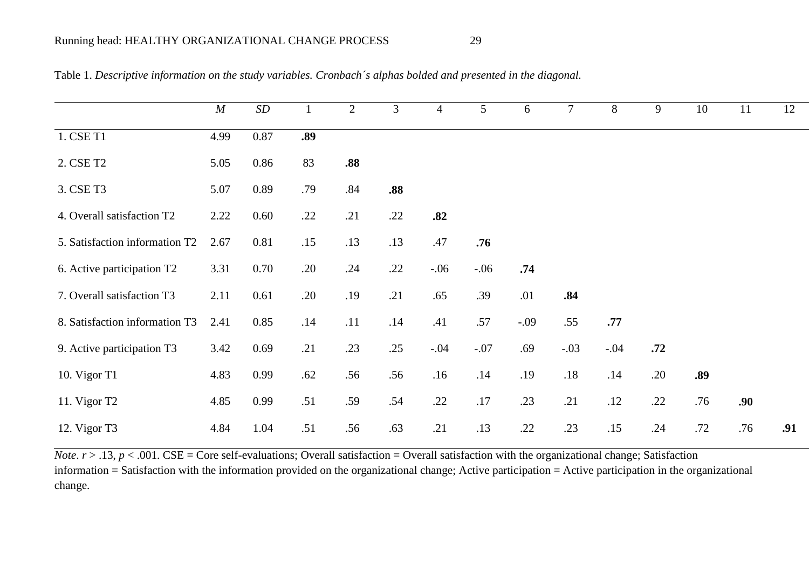|                                | M    | $\cal SD$ |     | $\overline{2}$ | $\overline{3}$ | $\overline{4}$ | 5 <sup>5</sup> | 6      | $\overline{7}$ | 8      | 9   | 10  | 11  | 12  |
|--------------------------------|------|-----------|-----|----------------|----------------|----------------|----------------|--------|----------------|--------|-----|-----|-----|-----|
| 1. CSE T1                      | 4.99 | 0.87      | .89 |                |                |                |                |        |                |        |     |     |     |     |
| 2. CSE T2                      | 5.05 | 0.86      | 83  | .88            |                |                |                |        |                |        |     |     |     |     |
| 3. CSE T3                      | 5.07 | 0.89      | .79 | .84            | .88            |                |                |        |                |        |     |     |     |     |
| 4. Overall satisfaction T2     | 2.22 | 0.60      | .22 | .21            | .22            | .82            |                |        |                |        |     |     |     |     |
| 5. Satisfaction information T2 | 2.67 | 0.81      | .15 | .13            | .13            | .47            | .76            |        |                |        |     |     |     |     |
| 6. Active participation T2     | 3.31 | 0.70      | .20 | .24            | .22            | $-.06$         | $-.06$         | .74    |                |        |     |     |     |     |
| 7. Overall satisfaction T3     | 2.11 | 0.61      | .20 | .19            | .21            | .65            | .39            | .01    | .84            |        |     |     |     |     |
| 8. Satisfaction information T3 | 2.41 | 0.85      | .14 | .11            | .14            | .41            | .57            | $-.09$ | .55            | .77    |     |     |     |     |
| 9. Active participation T3     | 3.42 | 0.69      | .21 | .23            | .25            | $-.04$         | $-.07$         | .69    | $-.03$         | $-.04$ | .72 |     |     |     |
| 10. Vigor T1                   | 4.83 | 0.99      | .62 | .56            | .56            | .16            | .14            | .19    | .18            | .14    | .20 | .89 |     |     |
| 11. Vigor T2                   | 4.85 | 0.99      | .51 | .59            | .54            | .22            | .17            | .23    | .21            | .12    | .22 | .76 | .90 |     |
| 12. Vigor T3                   | 4.84 | 1.04      | .51 | .56            | .63            | .21            | .13            | .22    | .23            | .15    | .24 | .72 | .76 | .91 |

|  |  | Table 1. Descriptive information on the study variables. Cronbach's alphas bolded and presented in the diagonal. |
|--|--|------------------------------------------------------------------------------------------------------------------|
|  |  |                                                                                                                  |

*Note.*  $r > .13$ ,  $p < .001$ . CSE = Core self-evaluations; Overall satisfaction = Overall satisfaction with the organizational change; Satisfaction information = Satisfaction with the information provided on the organizational change; Active participation = Active participation in the organizational change.